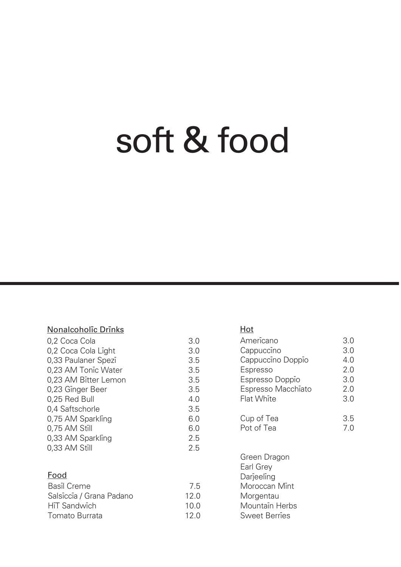## soft & food

#### Nonalcoholic Drinks

| 0,2 Coca Cola        | 3.0 |
|----------------------|-----|
| 0,2 Coca Cola Light  | 3.0 |
| 0,33 Paulaner Spezi  | 3.5 |
| 0,23 AM Tonic Water  | 3.5 |
| 0,23 AM Bitter Lemon | 3.5 |
| 0,23 Ginger Beer     | 3.5 |
| 0,25 Red Bull        | 4 O |
| 0,4 Saftschorle      | 3.5 |
| 0,75 AM Sparkling    | 6.0 |
| 0,75 AM Still        | 6.0 |
| 0,33 AM Sparkling    | 2.5 |
| 0,33 AM Still        | 2.5 |
|                      |     |

#### Food

| Basil Creme              | 75  |
|--------------------------|-----|
| Salsiccia / Grana Padano | 120 |
| HiT Sandwich             | 100 |
| Tomato Burrata           | 120 |

#### Hot

| Americano          | 3.0 |
|--------------------|-----|
| Cappuccino         | 3.0 |
| Cappuccino Doppio  | 4.0 |
| Espresso           | 20  |
| Espresso Doppio    | 3.0 |
| Espresso Macchiato | 20  |
| Flat White         | 3.0 |
| Cup of Tea         | 3.5 |
| Pot of Tea         | 70  |
|                    |     |

Green Dragon Earl Grey Darieeling Moroccan Mint Morgentau Mountain Herbs Sweet Berries